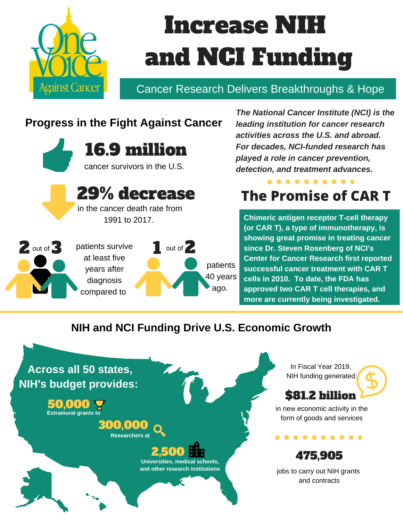

# Increase NIH and NCI Funding

### Cancer Research Delivers Breakthroughs & Hope

### **Progress in the Fight Against Cancer**



29% decrease

in the cancer death rate from 1991 to 2017.

2 out of 3 patients survive 1 out of 2 at least five years after diagnosis compared to patients 40 years ago.

*The National Cancer Institute (NCI) is the leading institution for cancer research activities across the U.S. and abroad. For decades, NCI-funded research has played a role in cancer prevention, detection, and treatment advances.*

### **. . . . . . . . . . The Promise of CAR T**

**Chimeric antigen receptor T-cell therapy (or CAR T), a type of immunotherapy, is showing great promise in treating cancer since Dr. Steven Rosenberg of NCI's Center for Cancer Research first reported successful cancer treatment with CAR T cells in 2010. To date, the FDA has approved two CAR T cell therapies, and more are currently being investigated.**

#### **NIH and NCI Funding Drive U.S. Economic Growth**